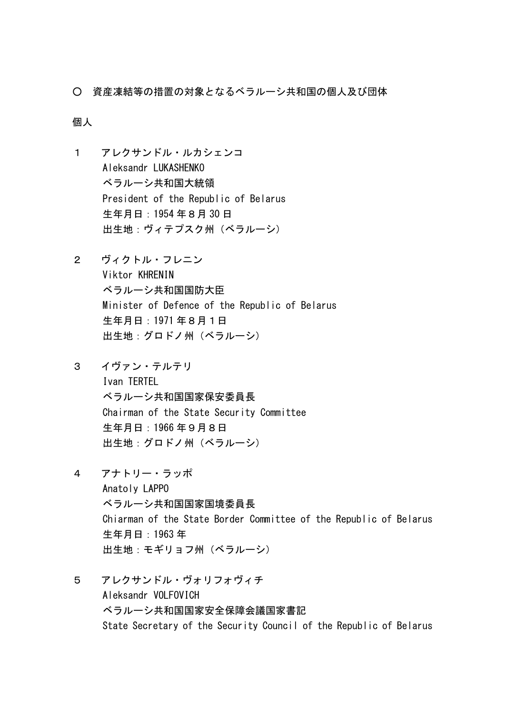○ 資産凍結等の措置の対象となるベラルーシ共和国の個人及び団体

## 個人

- 1 アレクサンドル・ルカシェンコ Aleksandr LUKASHENKO ベラルーシ共和国大統領 President of the Republic of Belarus 生年月日:1954 年8月 30 日 出生地:ヴィテプスク州(ベラルーシ)
- 2 ヴィクトル・フレニン Viktor KHRENIN ベラルーシ共和国国防大臣 Minister of Defence of the Republic of Belarus 生年月日:1971 年8月1日 出生地:グロドノ州(ベラルーシ)
- 3 イヴァン・テルテリ Ivan TERTEL ベラルーシ共和国国家保安委員長 Chairman of the State Security Committee 生年月日:1966 年9月8日 出生地:グロドノ州(ベラルーシ)
- 4 アナトリー・ラッポ Anatoly LAPPO ベラルーシ共和国国家国境委員長 Chiarman of the State Border Committee of the Republic of Belarus 生年月日:1963 年 出生地:モギリョフ州(ベラルーシ)
- 5 アレクサンドル・ヴォリフォヴィチ Aleksandr VOLFOVICH ベラルーシ共和国国家安全保障会議国家書記 State Secretary of the Security Council of the Republic of Belarus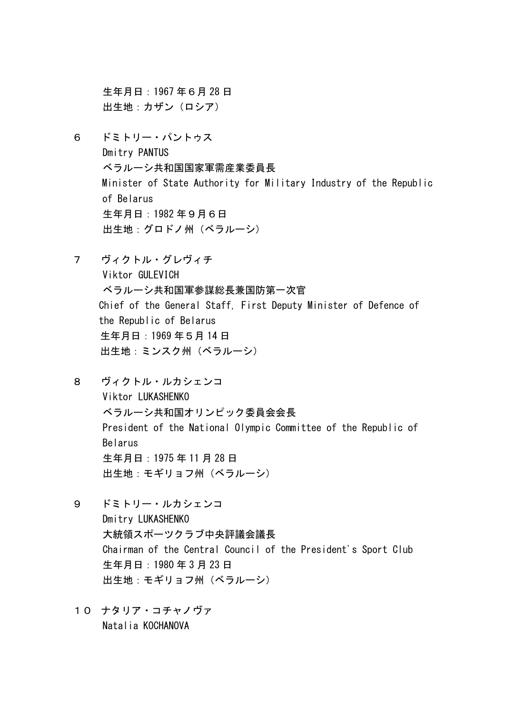生年月日:1967 年6月 28 日 出生地:カザン(ロシア)

- 6 ドミトリー・パントゥス Dmitry PANTUS ベラルーシ共和国国家軍需産業委員長 Minister of State Authority for Military Industry of the Republic of Belarus 生年月日:1982 年9月6日 出生地:グロドノ州(ベラルーシ)
- 7 ヴィクトル・グレヴィチ Viktor GULFVICH ベラルーシ共和国軍参謀総長兼国防第一次官 Chief of the General Staff, First Deputy Minister of Defence of the Republic of Belarus 生年月日:1969 年5月 14 日 出生地:ミンスク州(ベラルーシ)
- 8 ヴィクトル・ルカシェンコ Viktor LUKASHENKO ベラルーシ共和国オリンピック委員会会長 President of the National Olympic Committee of the Republic of Belarus 生年月日:1975 年 11 月 28 日 出生地:モギリョフ州(ベラルーシ)
- 9 ドミトリー・ルカシェンコ Dmitry LUKASHENKO 大統領スポーツクラブ中央評議会議長 Chairman of the Central Council of the President's Sport Club 生年月日:1980 年 3 月 23 日 出生地:モギリョフ州(ベラルーシ)
- 10 ナタリア・コチャノヴァ Natalia KOCHANOVA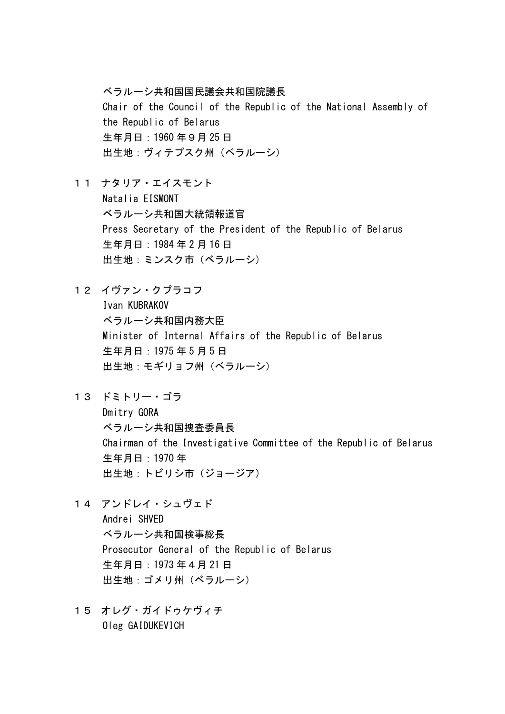ベラルーシ共和国国民議会共和国院議長 Chair of the Council of the Republic of the National Assembly of the Republic of Belarus 生年月日:1960 年9月 25 日 出生地:ヴィテプスク州(ベラルーシ)

- 11 ナタリア・エイスモント Natalia EISMONT ベラルーシ共和国大統領報道官 Press Secretary of the President of the Republic of Belarus 生年月日:1984 年 2 月 16 日 出生地:ミンスク市(ベラルーシ)
- 12 イヴァン・クブラコフ Ivan KUBRAKOV ベラルーシ共和国内務大臣 Minister of Internal Affairs of the Republic of Belarus 生年月日:1975 年 5 月 5 日 出生地:モギリョフ州(ベラルーシ)
- 13 ドミトリー・ゴラ Dmitry GORA ベラルーシ共和国捜査委員長 Chairman of the Investigative Committee of the Republic of Belarus 生年月日:1970 年 出生地:トビリシ市(ジョージア)
- 14 アンドレイ・シュヴェド Andrei SHVED ベラルーシ共和国検事総長 Prosecutor General of the Republic of Belarus 生年月日:1973 年4月 21 日 出生地:ゴメリ州(ベラルーシ)
- 15 オレグ・ガイドゥケヴィチ Oleg GAIDUKEVICH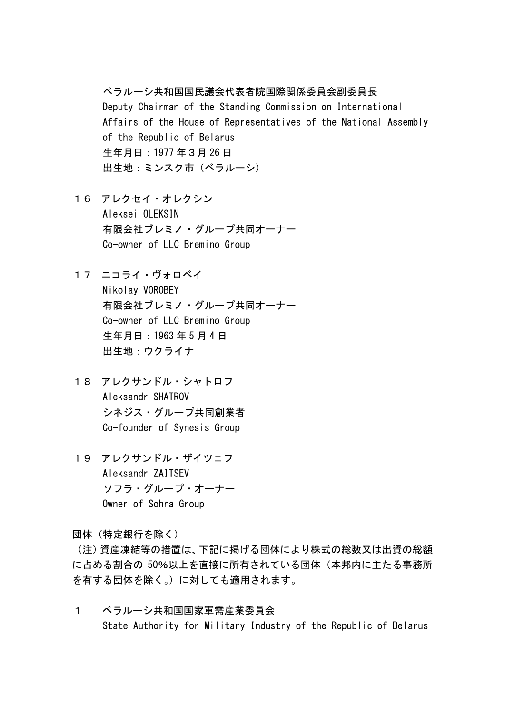## ベラルーシ共和国国民議会代表者院国際関係委員会副委員長

Deputy Chairman of the Standing Commission on International Affairs of the House of Representatives of the National Assembly of the Republic of Belarus 生年月日:1977 年3月 26 日 出生地:ミンスク市(ベラルーシ)

- 16 アレクセイ・オレクシン Aleksei OLEKSIN 有限会社ブレミノ・グループ共同オーナー Co-owner of LLC Bremino Group
- 17 ニコライ・ヴォロベイ Nikolay VOROBEY 有限会社ブレミノ・グループ共同オーナー Co-owner of LLC Bremino Group 生年月日:1963 年 5 月 4 日 出生地:ウクライナ
- 18 アレクサンドル・シャトロフ Aleksandr SHATROV シネジス・グループ共同創業者 Co-founder of Synesis Group
- 19 アレクサンドル・ザイツェフ Aleksandr ZAITSEV ソフラ・グループ・オーナー Owner of Sohra Group

団体(特定銀行を除く)

(注)資産凍結等の措置は、下記に掲げる団体により株式の総数又は出資の総額 に占める割合の 50%以上を直接に所有されている団体(本邦内に主たる事務所 を有する団体を除く。)に対しても適用されます。

1 ベラルーシ共和国国家軍需産業委員会 State Authority for Military Industry of the Republic of Belarus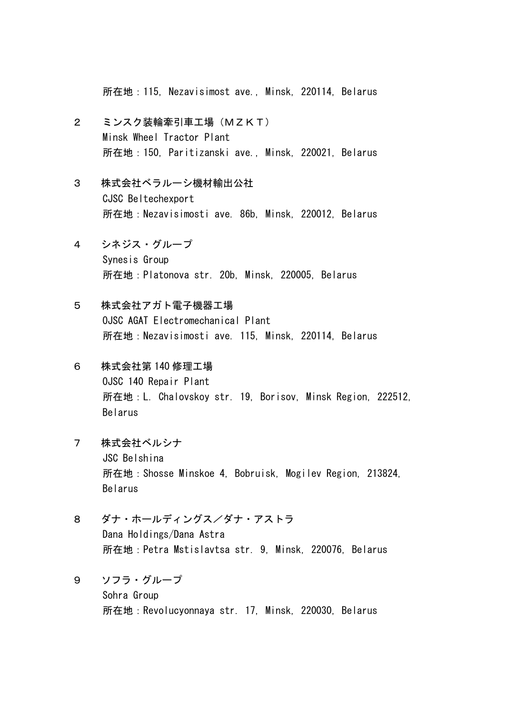所在地:115, Nezavisimost ave., Minsk, 220114, Belarus

- 2 ミンスク装輪牽引車工場(MZKT) Minsk Wheel Tractor Plant 所在地:150, Paritizanski ave., Minsk, 220021, Belarus
- 3 株式会社ベラルーシ機材輸出公社 CJSC Beltechexport 所在地:Nezavisimosti ave. 86b, Minsk, 220012, Belarus
- 4 シネジス・グループ Synesis Group 所在地:Platonova str. 20b, Minsk, 220005, Belarus
- 5 株式会社アガト電子機器工場 OJSC AGAT Electromechanical Plant 所在地:Nezavisimosti ave. 115, Minsk, 220114, Belarus
- 6 株式会社第 140 修理工場 OJSC 140 Repair Plant 所在地:L. Chalovskoy str. 19, Borisov, Minsk Region, 222512, Belarus
- 7 株式会社ベルシナ JSC Belshina 所在地:Shosse Minskoe 4, Bobruisk, Mogilev Region, 213824, Belarus
- 8 ダナ・ホールディングス/ダナ・アストラ Dana Holdings/Dana Astra 所在地:Petra Mstislavtsa str. 9, Minsk, 220076, Belarus
- 9 ソフラ・グループ Sohra Group 所在地:Revolucyonnaya str. 17, Minsk, 220030, Belarus